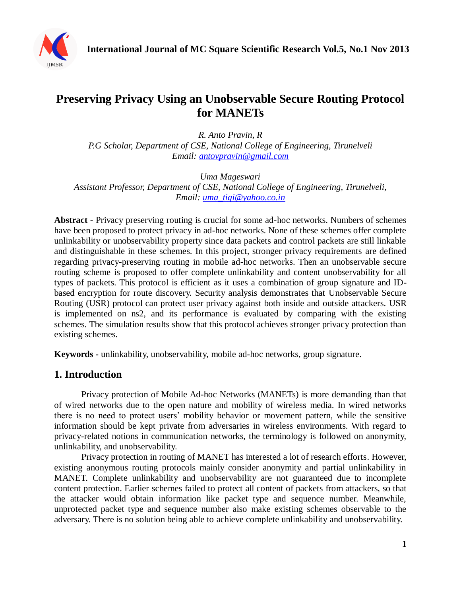

# **Preserving Privacy Using an Unobservable Secure Routing Protocol for MANETs**

*R. Anto Pravin, R P.G Scholar, Department of CSE, National College of Engineering, Tirunelveli Email: [antovpravin@gmail.com](mailto:antovpravin@gmail.com)*

*Uma Mageswari Assistant Professor, Department of CSE, National College of Engineering, Tirunelveli, Email: [uma\\_tigi@yahoo.co.in](mailto:uma_tigi@yahoo.co.in)*

**Abstract -** Privacy preserving routing is crucial for some ad-hoc networks. Numbers of schemes have been proposed to protect privacy in ad-hoc networks. None of these schemes offer complete unlinkability or unobservability property since data packets and control packets are still linkable and distinguishable in these schemes. In this project, stronger privacy requirements are defined regarding privacy-preserving routing in mobile ad-hoc networks. Then an unobservable secure routing scheme is proposed to offer complete unlinkability and content unobservability for all types of packets. This protocol is efficient as it uses a combination of group signature and IDbased encryption for route discovery. Security analysis demonstrates that Unobservable Secure Routing (USR) protocol can protect user privacy against both inside and outside attackers. USR is implemented on ns2, and its performance is evaluated by comparing with the existing schemes. The simulation results show that this protocol achieves stronger privacy protection than existing schemes.

**Keywords -** unlinkability, unobservability, mobile ad-hoc networks, group signature.

### **1. Introduction**

Privacy protection of Mobile Ad-hoc Networks (MANETs) is more demanding than that of wired networks due to the open nature and mobility of wireless media. In wired networks there is no need to protect users' mobility behavior or movement pattern, while the sensitive information should be kept private from adversaries in wireless environments. With regard to privacy-related notions in communication networks, the terminology is followed on anonymity, unlinkability, and unobservability.

Privacy protection in routing of MANET has interested a lot of research efforts. However, existing anonymous routing protocols mainly consider anonymity and partial unlinkability in MANET. Complete unlinkability and unobservability are not guaranteed due to incomplete content protection. Earlier schemes failed to protect all content of packets from attackers, so that the attacker would obtain information like packet type and sequence number. Meanwhile, unprotected packet type and sequence number also make existing schemes observable to the adversary. There is no solution being able to achieve complete unlinkability and unobservability.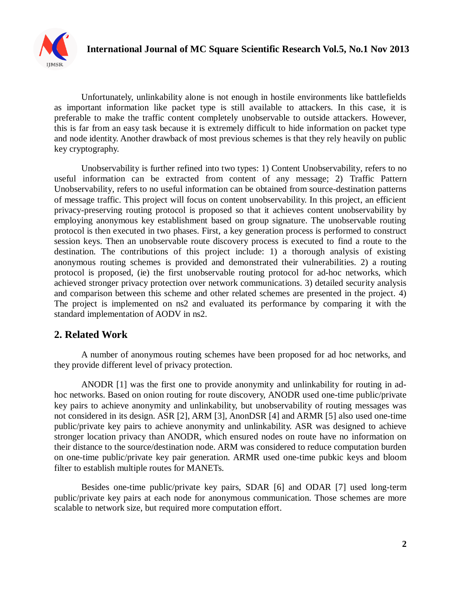

Unfortunately, unlinkability alone is not enough in hostile environments like battlefields as important information like packet type is still available to attackers. In this case, it is preferable to make the traffic content completely unobservable to outside attackers. However, this is far from an easy task because it is extremely difficult to hide information on packet type and node identity. Another drawback of most previous schemes is that they rely heavily on public key cryptography.

Unobservability is further refined into two types: 1) Content Unobservability, refers to no useful information can be extracted from content of any message; 2) Traffic Pattern Unobservability, refers to no useful information can be obtained from source-destination patterns of message traffic. This project will focus on content unobservability. In this project, an efficient privacy-preserving routing protocol is proposed so that it achieves content unobservability by employing anonymous key establishment based on group signature. The unobservable routing protocol is then executed in two phases. First, a key generation process is performed to construct session keys. Then an unobservable route discovery process is executed to find a route to the destination. The contributions of this project include: 1) a thorough analysis of existing anonymous routing schemes is provided and demonstrated their vulnerabilities. 2) a routing protocol is proposed, (ie) the first unobservable routing protocol for ad-hoc networks, which achieved stronger privacy protection over network communications. 3) detailed security analysis and comparison between this scheme and other related schemes are presented in the project. 4) The project is implemented on ns2 and evaluated its performance by comparing it with the standard implementation of AODV in ns2.

# **2. Related Work**

A number of anonymous routing schemes have been proposed for ad hoc networks, and they provide different level of privacy protection.

ANODR [1] was the first one to provide anonymity and unlinkability for routing in adhoc networks. Based on onion routing for route discovery, ANODR used one-time public/private key pairs to achieve anonymity and unlinkability, but unobservability of routing messages was not considered in its design. ASR [2], ARM [3], AnonDSR [4] and ARMR [5] also used one-time public/private key pairs to achieve anonymity and unlinkability. ASR was designed to achieve stronger location privacy than ANODR, which ensured nodes on route have no information on their distance to the source/destination node. ARM was considered to reduce computation burden on one-time public/private key pair generation. ARMR used one-time pubkic keys and bloom filter to establish multiple routes for MANETs.

Besides one-time public/private key pairs, SDAR [6] and ODAR [7] used long-term public/private key pairs at each node for anonymous communication. Those schemes are more scalable to network size, but required more computation effort.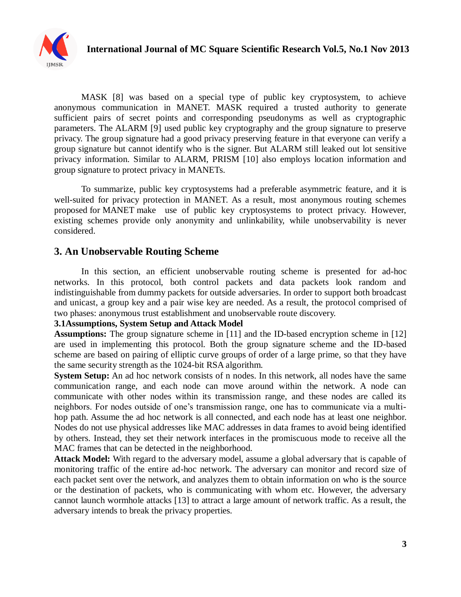

MASK [8] was based on a special type of public key cryptosystem, to achieve anonymous communication in MANET. MASK required a trusted authority to generate sufficient pairs of secret points and corresponding pseudonyms as well as cryptographic parameters. The ALARM [9] used public key cryptography and the group signature to preserve privacy. The group signature had a good privacy preserving feature in that everyone can verify a group signature but cannot identify who is the signer. But ALARM still leaked out lot sensitive privacy information. Similar to ALARM, PRISM [10] also employs location information and group signature to protect privacy in MANETs.

To summarize, public key cryptosystems had a preferable asymmetric feature, and it is well-suited for privacy protection in MANET. As a result, most anonymous routing schemes proposed for MANET make use of public key cryptosystems to protect privacy. However, existing schemes provide only anonymity and unlinkability, while unobservability is never considered.

## **3. An Unobservable Routing Scheme**

In this section, an efficient unobservable routing scheme is presented for ad-hoc networks. In this protocol, both control packets and data packets look random and indistinguishable from dummy packets for outside adversaries. In order to support both broadcast and unicast, a group key and a pair wise key are needed. As a result, the protocol comprised of two phases: anonymous trust establishment and unobservable route discovery.

#### **3.1Assumptions, System Setup and Attack Model**

**Assumptions:** The group signature scheme in [11] and the ID-based encryption scheme in [12] are used in implementing this protocol. Both the group signature scheme and the ID-based scheme are based on pairing of elliptic curve groups of order of a large prime, so that they have the same security strength as the 1024-bit RSA algorithm.

**System Setup:** An ad hoc network consists of n nodes. In this network, all nodes have the same communication range, and each node can move around within the network. A node can communicate with other nodes within its transmission range, and these nodes are called its neighbors. For nodes outside of one's transmission range, one has to communicate via a multihop path. Assume the ad hoc network is all connected, and each node has at least one neighbor. Nodes do not use physical addresses like MAC addresses in data frames to avoid being identified by others. Instead, they set their network interfaces in the promiscuous mode to receive all the MAC frames that can be detected in the neighborhood.

**Attack Model:** With regard to the adversary model, assume a global adversary that is capable of monitoring traffic of the entire ad-hoc network. The adversary can monitor and record size of each packet sent over the network, and analyzes them to obtain information on who is the source or the destination of packets, who is communicating with whom etc. However, the adversary cannot launch wormhole attacks [13] to attract a large amount of network traffic. As a result, the adversary intends to break the privacy properties.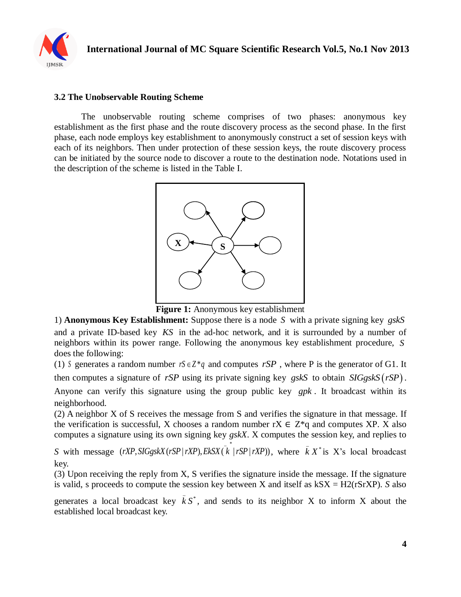

#### **3.2 The Unobservable Routing Scheme**

The unobservable routing scheme comprises of two phases: anonymous key establishment as the first phase and the route discovery process as the second phase. In the first phase, each node employs key establishment to anonymously construct a set of session keys with each of its neighbors. Then under protection of these session keys, the route discovery process can be initiated by the source node to discover a route to the destination node. Notations used in the description of the scheme is listed in the Table I.



**Figure 1:** Anonymous key establishment

1) **Anonymous Key Establishment:** Suppose there is a node *S* with a private signing key *gskS* and a private ID-based key *KS* in the ad-hoc network, and it is surrounded by a number of neighbors within its power range. Following the anonymous key establishment procedure, *S* does the following:

(1) S generates a random number  $rS \in Z^*q$  and computes  $rSP$ , where P is the generator of G1. It then computes a signature of  $rSP$  using its private signing key  $gskS$  to obtain  $SIGgskS (rSP)$ . Anyone can verify this signature using the group public key *gpk* . It broadcast within its neighborhood.

(2) A neighbor X of S receives the message from S and verifies the signature in that message. If the verification is successful, X chooses a random number  $rX \in Z^*q$  and computes XP. X also computes a signature using its own signing key *gskX*. X computes the session key, and replies to  $\overline{\phantom{a}}$ 

computes a signature using its own signing key *gskX*. *X* computes the session key, and replies to *S* with message  $(rXP, SIGgskX(rSP | rXP), EkSX(\vec{k} | rSP | rXP))$ , where  $\vec{k} X^*$  is X's local broadcast \_ key.

(3) Upon receiving the reply from X, S verifies the signature inside the message. If the signature is valid, s proceeds to compute the session key between X and itself as kSX = H2(rSrXP). *S* also

generates a local broadcast key  $\overline{k}S^*$ , and sends to its neighbor X to inform X about the established local broadcast key.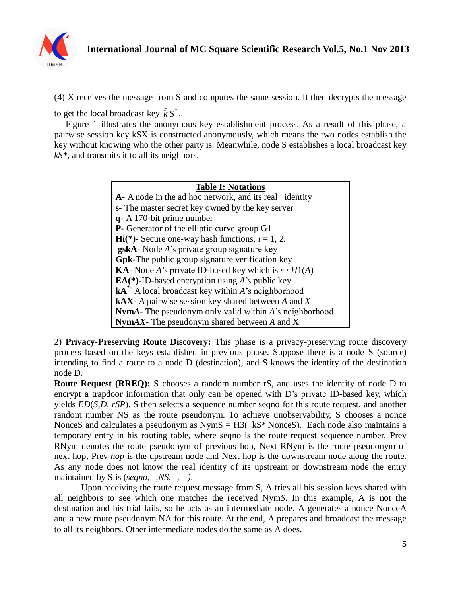

(4) X receives the message from S and computes the same session. It then decrypts the message

to get the local broadcast key  $\bar{k}S^*$ . \_

 Figure 1 illustrates the anonymous key establishment process. As a result of this phase, a pairwise session key kSX is constructed anonymously, which means the two nodes establish the key without knowing who the other party is. Meanwhile, node S establishes a local broadcast key *kS\*,* and transmits it to all its neighbors.

#### **Table I: Notations A***-* A node in the ad hoc network, and its real identity **s***-* The master secret key owned by the key server **q***-* A 170-bit prime number **P***-* Generator of the elliptic curve group G1 **Hi**(\*)- Secure one-way hash functions,  $i = 1, 2$ . **gskA***-* Node *A*'s private group signature key **Gpk***-*The public group signature verification key **KA**- Node *A*'s private ID-based key which is  $s \cdot H1(A)$ **EA(\*)-**ID-based encryption using *A*'s public key **kA\*-** A local broadcast key within *A*'s neighborhood **kAX***-* A pairwise session key shared between *A* and *X* **Nym***A-* The pseudonym only valid within *A*'s neighborhood **Nym***AX-* The pseudonym shared between *A* and X

2) **Privacy-Preserving Route Discovery:** This phase is a privacy-preserving route discovery process based on the keys established in previous phase. Suppose there is a node S (source) intending to find a route to a node D (destination), and S knows the identity of the destination node D.

**Route Request (RREQ):** S chooses a random number rS, and uses the identity of node D to encrypt a trapdoor information that only can be opened with D's private ID-based key, which yields *ED*(*S,D, rSP*). S then selects a sequence number seqno for this route request, and another random number NS as the route pseudonym. To achieve unobservability, S chooses a nonce NonceS and calculates a pseudonym as  $NymS = H3(^{-}kS^{*}|NonceS)$ . Each node also maintains a temporary entry in his routing table, where seqno is the route request sequence number, Prev RNym denotes the route pseudonym of previous hop, Next RNym is the route pseudonym of next hop, Prev *hop* is the upstream node and Next hop is the downstream node along the route. As any node does not know the real identity of its upstream or downstream node the entry maintained by S is (*seqno,−,NS,−, −)*.

Upon receiving the route request message from S, A tries all his session keys shared with all neighbors to see which one matches the received Nym*S*. In this example, A is not the destination and his trial fails, so he acts as an intermediate node. A generates a nonce NonceA and a new route pseudonym NA for this route. At the end, A prepares and broadcast the message to all its neighbors. Other intermediate nodes do the same as A does.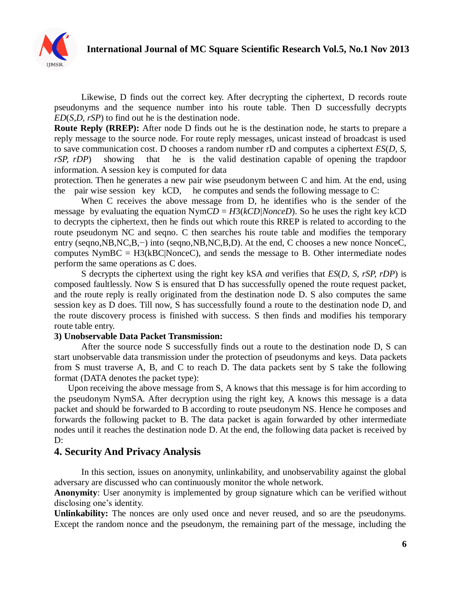

Likewise, D finds out the correct key. After decrypting the ciphertext, D records route pseudonyms and the sequence number into his route table. Then D successfully decrypts *ED*(*S,D, rSP*) to find out he is the destination node.

**Route Reply (RREP):** After node D finds out he is the destination node, he starts to prepare a reply message to the source node. For route reply messages, unicast instead of broadcast is used to save communication cost. D chooses a random number rD and computes a ciphertext *ES*(*D, S, rSP, rDP*) showing that he is the valid destination capable of opening the trapdoor information. A session key is computed for data

protection. Then he generates a new pair wise pseudonym between C and him. At the end, using the pair wise session key kCD, he computes and sends the following message to C:

When C receives the above message from D, he identifies who is the sender of the message by evaluating the equation  $NymCD = H3(kCD/NonceD)$ . So he uses the right key kCD to decrypts the ciphertext, then he finds out which route this RREP is related to according to the route pseudonym NC and seqno. C then searches his route table and modifies the temporary entry (seqno,NB,NC,B,−) into (seqno,NB,NC,B,D). At the end, C chooses a new nonce NonceC, computes  $NymBC = H3(kBC|NonceC)$ , and sends the message to B. Other intermediate nodes perform the same operations as C does.

S decrypts the ciphertext using the right key kSA *a*nd verifies that *ES*(*D, S, rSP, rDP*) is composed faultlessly. Now S is ensured that D has successfully opened the route request packet, and the route reply is really originated from the destination node D. S also computes the same session key as D does. Till now, S has successfully found a route to the destination node D, and the route discovery process is finished with success. S then finds and modifies his temporary route table entry.

#### **3) Unobservable Data Packet Transmission:**

After the source node S successfully finds out a route to the destination node D, S can start unobservable data transmission under the protection of pseudonyms and keys. Data packets from S must traverse A, B, and C to reach D. The data packets sent by S take the following format (DATA denotes the packet type):

 Upon receiving the above message from S, A knows that this message is for him according to the pseudonym NymSA*.* After decryption using the right key, A knows this message is a data packet and should be forwarded to B according to route pseudonym NS. Hence he composes and forwards the following packet to B. The data packet is again forwarded by other intermediate nodes until it reaches the destination node D. At the end, the following data packet is received by D:

### **4. Security And Privacy Analysis**

In this section, issues on anonymity, unlinkability, and unobservability against the global adversary are discussed who can continuously monitor the whole network.

**Anonymity**: User anonymity is implemented by group signature which can be verified without disclosing one's identity.

**Unlinkability:** The nonces are only used once and never reused, and so are the pseudonyms. Except the random nonce and the pseudonym, the remaining part of the message, including the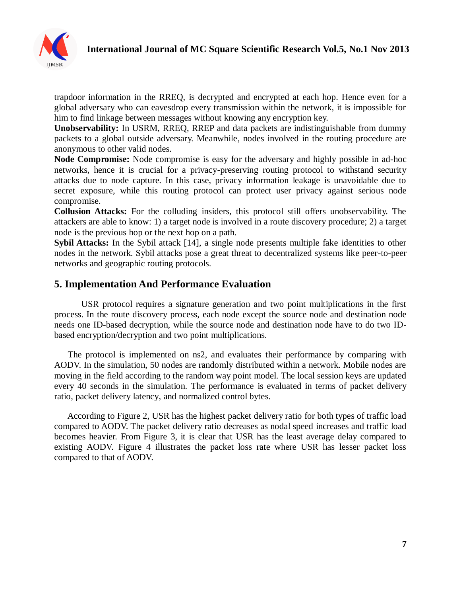

trapdoor information in the RREQ, is decrypted and encrypted at each hop. Hence even for a global adversary who can eavesdrop every transmission within the network, it is impossible for him to find linkage between messages without knowing any encryption key.

**Unobservability:** In USRM, RREQ, RREP and data packets are indistinguishable from dummy packets to a global outside adversary. Meanwhile, nodes involved in the routing procedure are anonymous to other valid nodes.

**Node Compromise:** Node compromise is easy for the adversary and highly possible in ad-hoc networks, hence it is crucial for a privacy-preserving routing protocol to withstand security attacks due to node capture. In this case, privacy information leakage is unavoidable due to secret exposure, while this routing protocol can protect user privacy against serious node compromise.

**Collusion Attacks:** For the colluding insiders, this protocol still offers unobservability. The attackers are able to know: 1) a target node is involved in a route discovery procedure; 2) a target node is the previous hop or the next hop on a path.

**Sybil Attacks:** In the Sybil attack [14], a single node presents multiple fake identities to other nodes in the network. Sybil attacks pose a great threat to decentralized systems like peer-to-peer networks and geographic routing protocols.

# **5. Implementation And Performance Evaluation**

USR protocol requires a signature generation and two point multiplications in the first process. In the route discovery process, each node except the source node and destination node needs one ID-based decryption, while the source node and destination node have to do two IDbased encryption/decryption and two point multiplications.

 The protocol is implemented on ns2, and evaluates their performance by comparing with AODV. In the simulation, 50 nodes are randomly distributed within a network. Mobile nodes are moving in the field according to the random way point model. The local session keys are updated every 40 seconds in the simulation. The performance is evaluated in terms of packet delivery ratio, packet delivery latency, and normalized control bytes.

 According to Figure 2, USR has the highest packet delivery ratio for both types of traffic load compared to AODV. The packet delivery ratio decreases as nodal speed increases and traffic load becomes heavier. From Figure 3, it is clear that USR has the least average delay compared to existing AODV. Figure 4 illustrates the packet loss rate where USR has lesser packet loss compared to that of AODV.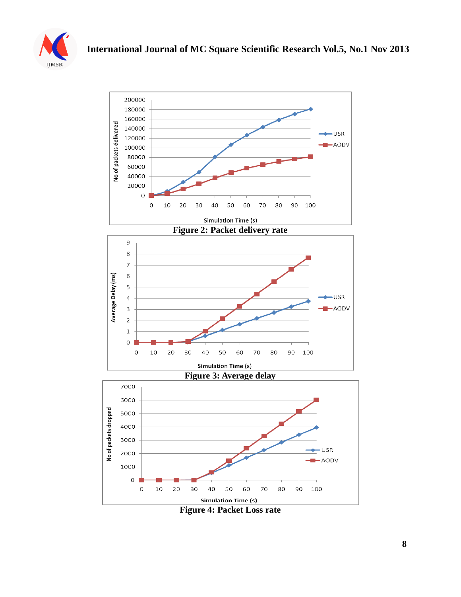



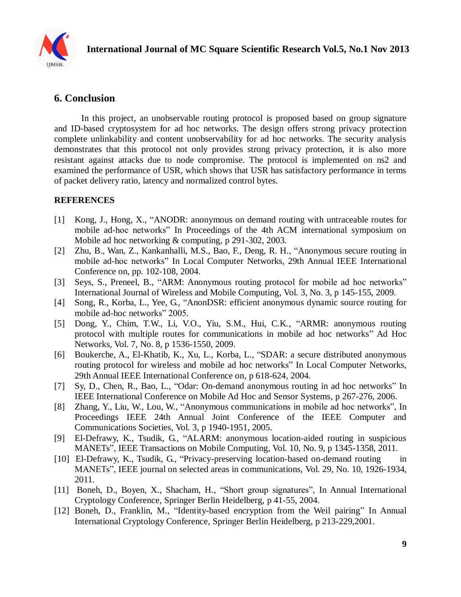

# **6. Conclusion**

In this project, an unobservable routing protocol is proposed based on group signature and ID-based cryptosystem for ad hoc networks. The design offers strong privacy protection complete unlinkability and content unobservability for ad hoc networks. The security analysis demonstrates that this protocol not only provides strong privacy protection, it is also more resistant against attacks due to node compromise. The protocol is implemented on ns2 and examined the performance of USR, which shows that USR has satisfactory performance in terms of packet delivery ratio, latency and normalized control bytes.

### **REFERENCES**

- [1] Kong, J., Hong, X., "ANODR: anonymous on demand routing with untraceable routes for mobile ad-hoc networks" In Proceedings of the 4th ACM international symposium on Mobile ad hoc networking & computing, p 291-302, 2003.
- [2] Zhu, B., Wan, Z., Kankanhalli, M.S., Bao, F., Deng, R. H., "Anonymous secure routing in mobile ad-hoc networks" In Local Computer Networks, 29th Annual IEEE International Conference on, pp. 102-108, 2004.
- [3] Seys, S., Preneel, B., "ARM: Anonymous routing protocol for mobile ad hoc networks" International Journal of Wireless and Mobile Computing, Vol. 3, No. 3, p 145-155, 2009.
- [4] Song, R., Korba, L., Yee, G., "AnonDSR: efficient anonymous dynamic source routing for mobile ad-hoc networks" 2005.
- [5] Dong, Y., Chim, T.W., Li, V.O., Yiu, S.M., Hui, C.K., "ARMR: anonymous routing protocol with multiple routes for communications in mobile ad hoc networks" Ad Hoc Networks, Vol. 7, No. 8, p 1536-1550, 2009.
- [6] Boukerche, A., El-Khatib, K., Xu, L., Korba, L., "SDAR: a secure distributed anonymous routing protocol for wireless and mobile ad hoc networks" In Local Computer Networks, 29th Annual IEEE International Conference on, p 618-624, 2004.
- [7] Sy, D., Chen, R., Bao, L., "Odar: On-demand anonymous routing in ad hoc networks" In IEEE International Conference on Mobile Ad Hoc and Sensor Systems, p 267-276, 2006.
- [8] Zhang, Y., Liu, W., Lou, W., "Anonymous communications in mobile ad hoc networks", In Proceedings IEEE 24th Annual Joint Conference of the IEEE Computer and Communications Societies, Vol. 3, p 1940-1951, 2005.
- [9] El-Defrawy, K., Tsudik, G., "ALARM: anonymous location-aided routing in suspicious MANETs", IEEE Transactions on Mobile Computing, Vol. 10, No. 9, p 1345-1358, 2011.
- [10] El-Defrawy, K., Tsudik, G., "Privacy-preserving location-based on-demand routing in MANETs", IEEE journal on selected areas in communications, Vol. 29, No. 10, 1926-1934, 2011.
- [11] Boneh, D., Boyen, X., Shacham, H., "Short group signatures", In Annual International Cryptology Conference, Springer Berlin Heidelberg, p 41-55, 2004.
- [12] Boneh, D., Franklin, M., "Identity-based encryption from the Weil pairing" In Annual International Cryptology Conference, Springer Berlin Heidelberg, p 213-229,2001.